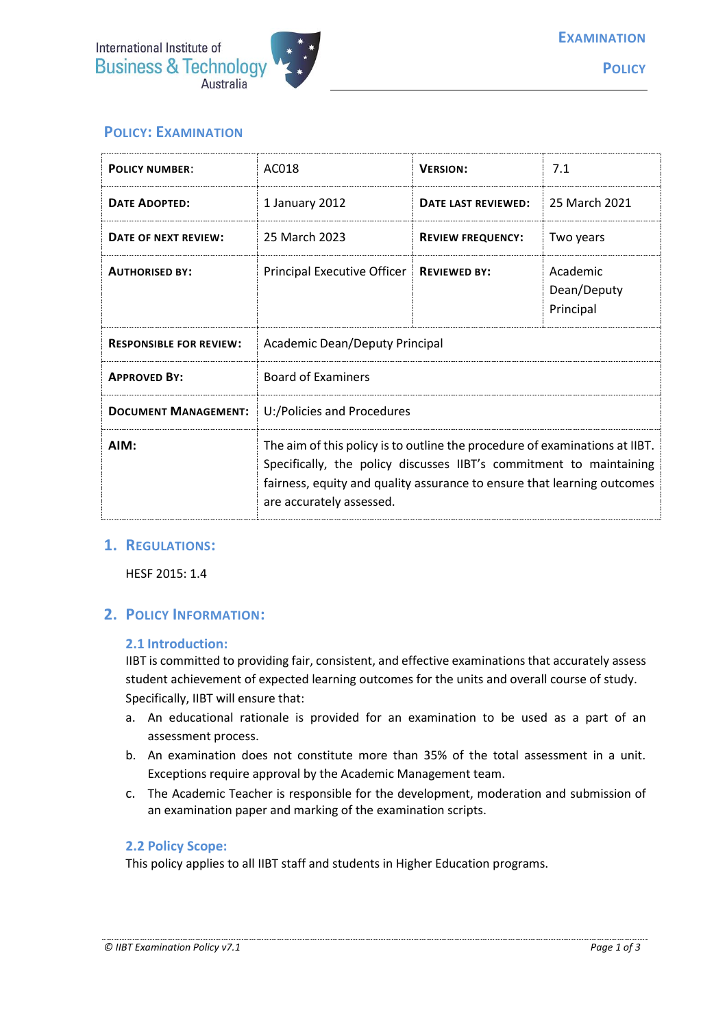

# **POLICY: EXAMINATION**

| <b>POLICY NUMBER:</b>          | AC018                                                                                                                                                                                                                                                     | <b>VERSION:</b>          | 7.1                                  |
|--------------------------------|-----------------------------------------------------------------------------------------------------------------------------------------------------------------------------------------------------------------------------------------------------------|--------------------------|--------------------------------------|
| <b>DATE ADOPTED:</b>           | 1 January 2012                                                                                                                                                                                                                                            | DATE LAST REVIEWED:      | 25 March 2021                        |
| DATE OF NEXT REVIEW:           | 25 March 2023                                                                                                                                                                                                                                             | <b>REVIEW FREQUENCY:</b> | Two years                            |
| <b>AUTHORISED BY:</b>          | Principal Executive Officer                                                                                                                                                                                                                               | <b>REVIEWED BY:</b>      | Academic<br>Dean/Deputy<br>Principal |
| <b>RESPONSIBLE FOR REVIEW:</b> | Academic Dean/Deputy Principal                                                                                                                                                                                                                            |                          |                                      |
| <b>APPROVED BY:</b>            | <b>Board of Examiners</b>                                                                                                                                                                                                                                 |                          |                                      |
| <b>DOCUMENT MANAGEMENT:</b>    | U:/Policies and Procedures                                                                                                                                                                                                                                |                          |                                      |
| AIM:                           | The aim of this policy is to outline the procedure of examinations at IIBT.<br>Specifically, the policy discusses IIBT's commitment to maintaining<br>fairness, equity and quality assurance to ensure that learning outcomes<br>are accurately assessed. |                          |                                      |

## **1. REGULATIONS:**

HESF 2015: 1.4

## **2. POLICY INFORMATION:**

## **2.1 Introduction:**

IIBT is committed to providing fair, consistent, and effective examinations that accurately assess student achievement of expected learning outcomes for the units and overall course of study. Specifically, IIBT will ensure that:

- a. An educational rationale is provided for an examination to be used as a part of an assessment process.
- b. An examination does not constitute more than 35% of the total assessment in a unit. Exceptions require approval by the Academic Management team.
- c. The Academic Teacher is responsible for the development, moderation and submission of an examination paper and marking of the examination scripts.

## **2.2 Policy Scope:**

This policy applies to all IIBT staff and students in Higher Education programs.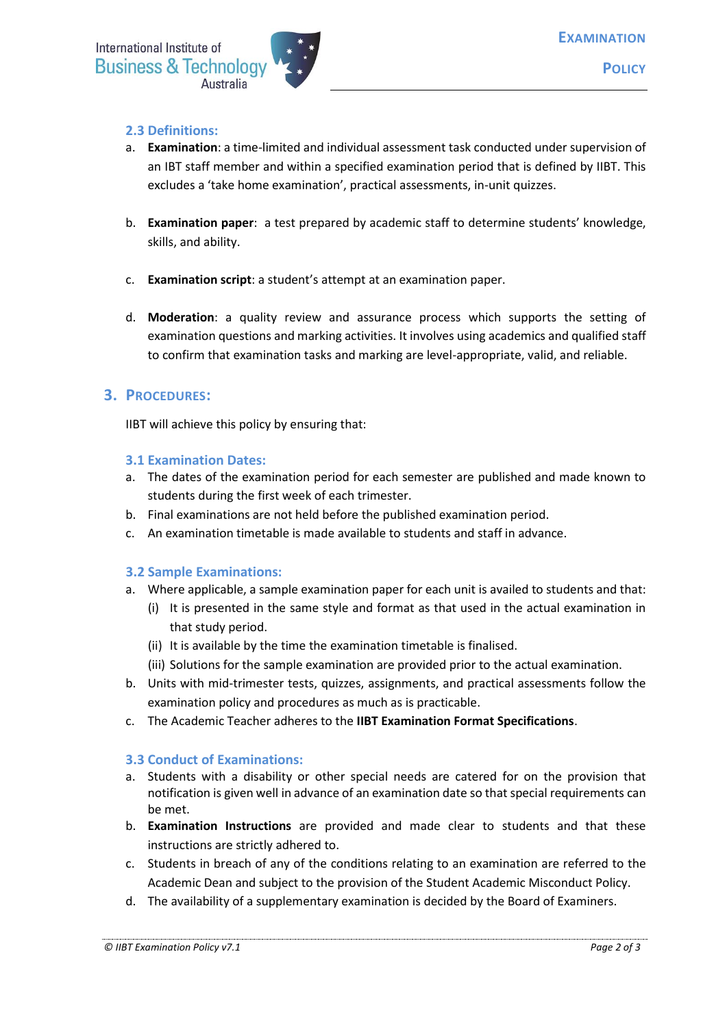#### **2.3 Definitions:**

- a. **Examination**: a time-limited and individual assessment task conducted under supervision of an IBT staff member and within a specified examination period that is defined by IIBT. This excludes a 'take home examination', practical assessments, in-unit quizzes.
- b. **Examination paper**: a test prepared by academic staff to determine students' knowledge, skills, and ability.
- c. **Examination script**: a student's attempt at an examination paper.
- d. **Moderation**: a quality review and assurance process which supports the setting of examination questions and marking activities. It involves using academics and qualified staff to confirm that examination tasks and marking are level-appropriate, valid, and reliable.

## **3. PROCEDURES:**

IIBT will achieve this policy by ensuring that:

#### **3.1 Examination Dates:**

- a. The dates of the examination period for each semester are published and made known to students during the first week of each trimester.
- b. Final examinations are not held before the published examination period.
- c. An examination timetable is made available to students and staff in advance.

## **3.2 Sample Examinations:**

- a. Where applicable, a sample examination paper for each unit is availed to students and that:
	- (i) It is presented in the same style and format as that used in the actual examination in that study period.
	- (ii) It is available by the time the examination timetable is finalised.
	- (iii) Solutions for the sample examination are provided prior to the actual examination.
- b. Units with mid-trimester tests, quizzes, assignments, and practical assessments follow the examination policy and procedures as much as is practicable.
- c. The Academic Teacher adheres to the **IIBT Examination Format Specifications**.

## **3.3 Conduct of Examinations:**

- a. Students with a disability or other special needs are catered for on the provision that notification is given well in advance of an examination date so that special requirements can be met.
- b. **Examination Instructions** are provided and made clear to students and that these instructions are strictly adhered to.
- c. Students in breach of any of the conditions relating to an examination are referred to the Academic Dean and subject to the provision of the Student Academic Misconduct Policy.
- d. The availability of a supplementary examination is decided by the Board of Examiners.